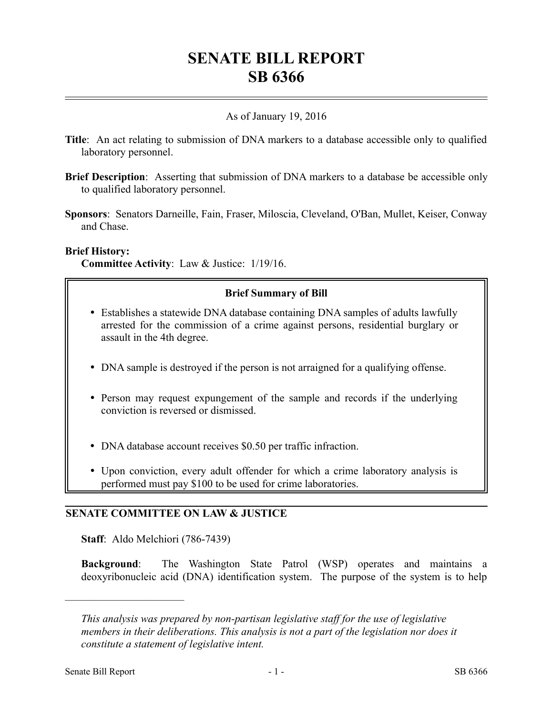# **SENATE BILL REPORT SB 6366**

## As of January 19, 2016

- **Title**: An act relating to submission of DNA markers to a database accessible only to qualified laboratory personnel.
- **Brief Description**: Asserting that submission of DNA markers to a database be accessible only to qualified laboratory personnel.
- **Sponsors**: Senators Darneille, Fain, Fraser, Miloscia, Cleveland, O'Ban, Mullet, Keiser, Conway and Chase.

#### **Brief History:**

**Committee Activity**: Law & Justice: 1/19/16.

# **Brief Summary of Bill**

- Establishes a statewide DNA database containing DNA samples of adults lawfully arrested for the commission of a crime against persons, residential burglary or assault in the 4th degree.
- DNA sample is destroyed if the person is not arraigned for a qualifying offense.
- Person may request expungement of the sample and records if the underlying conviction is reversed or dismissed.
- DNA database account receives \$0.50 per traffic infraction.
- Upon conviction, every adult offender for which a crime laboratory analysis is performed must pay \$100 to be used for crime laboratories.

### **SENATE COMMITTEE ON LAW & JUSTICE**

**Staff**: Aldo Melchiori (786-7439)

**Background**: The Washington State Patrol (WSP) operates and maintains a deoxyribonucleic acid (DNA) identification system. The purpose of the system is to help

––––––––––––––––––––––

*This analysis was prepared by non-partisan legislative staff for the use of legislative members in their deliberations. This analysis is not a part of the legislation nor does it constitute a statement of legislative intent.*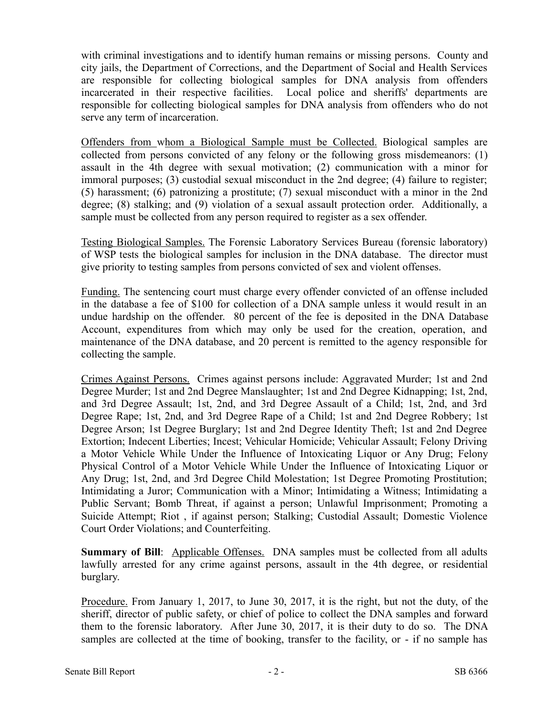with criminal investigations and to identify human remains or missing persons. County and city jails, the Department of Corrections, and the Department of Social and Health Services are responsible for collecting biological samples for DNA analysis from offenders incarcerated in their respective facilities. Local police and sheriffs' departments are responsible for collecting biological samples for DNA analysis from offenders who do not serve any term of incarceration.

Offenders from whom a Biological Sample must be Collected. Biological samples are collected from persons convicted of any felony or the following gross misdemeanors: (1) assault in the 4th degree with sexual motivation; (2) communication with a minor for immoral purposes; (3) custodial sexual misconduct in the 2nd degree; (4) failure to register; (5) harassment; (6) patronizing a prostitute; (7) sexual misconduct with a minor in the 2nd degree; (8) stalking; and (9) violation of a sexual assault protection order. Additionally, a sample must be collected from any person required to register as a sex offender.

Testing Biological Samples. The Forensic Laboratory Services Bureau (forensic laboratory) of WSP tests the biological samples for inclusion in the DNA database. The director must give priority to testing samples from persons convicted of sex and violent offenses.

Funding. The sentencing court must charge every offender convicted of an offense included in the database a fee of \$100 for collection of a DNA sample unless it would result in an undue hardship on the offender. 80 percent of the fee is deposited in the DNA Database Account, expenditures from which may only be used for the creation, operation, and maintenance of the DNA database, and 20 percent is remitted to the agency responsible for collecting the sample.

Crimes Against Persons. Crimes against persons include: Aggravated Murder; 1st and 2nd Degree Murder; 1st and 2nd Degree Manslaughter; 1st and 2nd Degree Kidnapping; 1st, 2nd, and 3rd Degree Assault; 1st, 2nd, and 3rd Degree Assault of a Child; 1st, 2nd, and 3rd Degree Rape; 1st, 2nd, and 3rd Degree Rape of a Child; 1st and 2nd Degree Robbery; 1st Degree Arson; 1st Degree Burglary; 1st and 2nd Degree Identity Theft; 1st and 2nd Degree Extortion; Indecent Liberties; Incest; Vehicular Homicide; Vehicular Assault; Felony Driving a Motor Vehicle While Under the Influence of Intoxicating Liquor or Any Drug; Felony Physical Control of a Motor Vehicle While Under the Influence of Intoxicating Liquor or Any Drug; 1st, 2nd, and 3rd Degree Child Molestation; 1st Degree Promoting Prostitution; Intimidating a Juror; Communication with a Minor; Intimidating a Witness; Intimidating a Public Servant; Bomb Threat, if against a person; Unlawful Imprisonment; Promoting a Suicide Attempt; Riot , if against person; Stalking; Custodial Assault; Domestic Violence Court Order Violations; and Counterfeiting.

**Summary of Bill**: Applicable Offenses. DNA samples must be collected from all adults lawfully arrested for any crime against persons, assault in the 4th degree, or residential burglary.

Procedure. From January 1, 2017, to June 30, 2017, it is the right, but not the duty, of the sheriff, director of public safety, or chief of police to collect the DNA samples and forward them to the forensic laboratory. After June 30, 2017, it is their duty to do so. The DNA samples are collected at the time of booking, transfer to the facility, or - if no sample has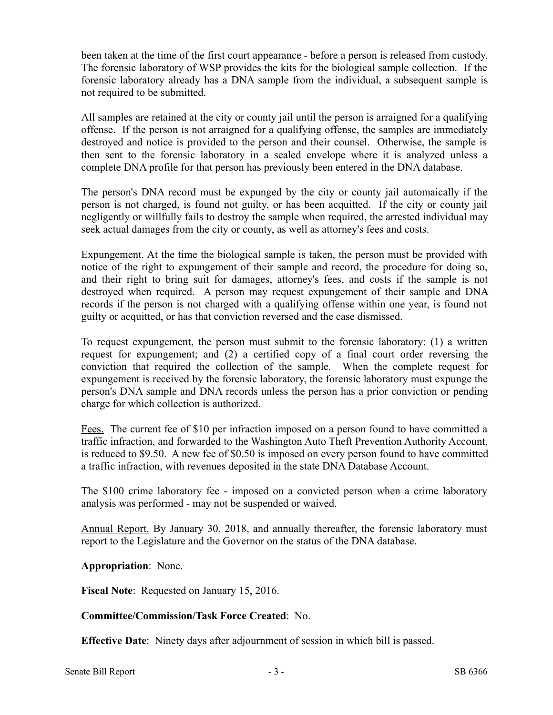been taken at the time of the first court appearance - before a person is released from custody. The forensic laboratory of WSP provides the kits for the biological sample collection. If the forensic laboratory already has a DNA sample from the individual, a subsequent sample is not required to be submitted.

All samples are retained at the city or county jail until the person is arraigned for a qualifying offense. If the person is not arraigned for a qualifying offense, the samples are immediately destroyed and notice is provided to the person and their counsel. Otherwise, the sample is then sent to the forensic laboratory in a sealed envelope where it is analyzed unless a complete DNA profile for that person has previously been entered in the DNA database.

The person's DNA record must be expunged by the city or county jail automaically if the person is not charged, is found not guilty, or has been acquitted. If the city or county jail negligently or willfully fails to destroy the sample when required, the arrested individual may seek actual damages from the city or county, as well as attorney's fees and costs.

Expungement. At the time the biological sample is taken, the person must be provided with notice of the right to expungement of their sample and record, the procedure for doing so, and their right to bring suit for damages, attorney's fees, and costs if the sample is not destroyed when required. A person may request expungement of their sample and DNA records if the person is not charged with a qualifying offense within one year, is found not guilty or acquitted, or has that conviction reversed and the case dismissed.

To request expungement, the person must submit to the forensic laboratory: (1) a written request for expungement; and (2) a certified copy of a final court order reversing the conviction that required the collection of the sample. When the complete request for expungement is received by the forensic laboratory, the forensic laboratory must expunge the person's DNA sample and DNA records unless the person has a prior conviction or pending charge for which collection is authorized.

Fees. The current fee of \$10 per infraction imposed on a person found to have committed a traffic infraction, and forwarded to the Washington Auto Theft Prevention Authority Account, is reduced to \$9.50. A new fee of \$0.50 is imposed on every person found to have committed a traffic infraction, with revenues deposited in the state DNA Database Account.

The \$100 crime laboratory fee - imposed on a convicted person when a crime laboratory analysis was performed - may not be suspended or waived.

Annual Report. By January 30, 2018, and annually thereafter, the forensic laboratory must report to the Legislature and the Governor on the status of the DNA database.

**Appropriation**: None.

**Fiscal Note**: Requested on January 15, 2016.

### **Committee/Commission/Task Force Created**: No.

**Effective Date**: Ninety days after adjournment of session in which bill is passed.